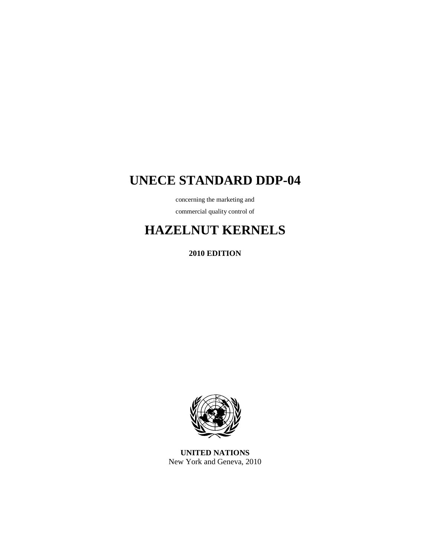# **UNECE STANDARD DDP-04**

concerning the marketing and

commercial quality control of

# **HAZELNUT KERNELS**

**2010 EDITION** 



**UNITED NATIONS**  New York and Geneva, 2010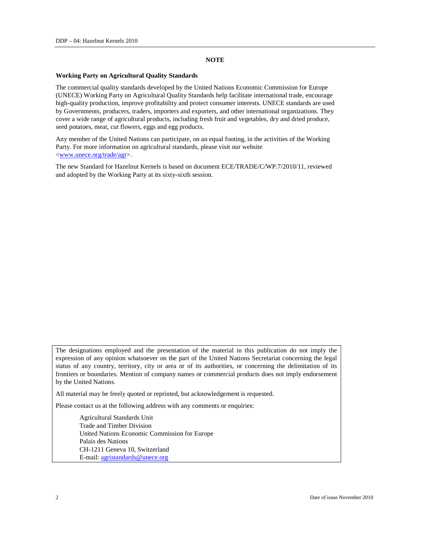#### **NOTE**

#### **Working Party on Agricultural Quality Standards**

The commercial quality standards developed by the United Nations Economic Commission for Europe (UNECE) Working Party on Agricultural Quality Standards help facilitate international trade, encourage high-quality production, improve profitability and protect consumer interests. UNECE standards are used by Governments, producers, traders, importers and exporters, and other international organizations. They cover a wide range of agricultural products, including fresh fruit and vegetables, dry and dried produce, seed potatoes, meat, cut flowers, eggs and egg products.

Any member of the United Nations can participate, on an equal footing, in the activities of the Working Party. For more information on agricultural standards, please visit our website <www.unece.org/trade/agr>.

The new Standard for Hazelnut Kernels is based on document ECE/TRADE/C/WP.7/2010/11, reviewed and adopted by the Working Party at its sixty-sixth session.

The designations employed and the presentation of the material in this publication do not imply the expression of any opinion whatsoever on the part of the United Nations Secretariat concerning the legal status of any country, territory, city or area or of its authorities, or concerning the delimitation of its frontiers or boundaries. Mention of company names or commercial products does not imply endorsement by the United Nations.

All material may be freely quoted or reprinted, but acknowledgement is requested.

Please contact us at the following address with any comments or enquiries:

 Agricultural Standards Unit Trade and Timber Division United Nations Economic Commission for Europe Palais des Nations CH-1211 Geneva 10, Switzerland E-mail: agristandards@unece.org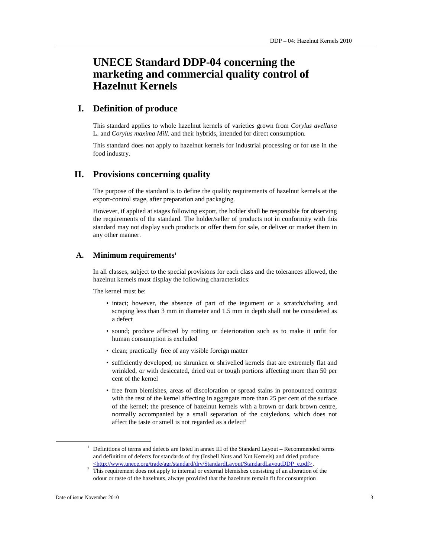# **UNECE Standard DDP-04 concerning the marketing and commercial quality control of Hazelnut Kernels**

# **I. Definition of produce**

This standard applies to whole hazelnut kernels of varieties grown from *Corylus avellana* L. and *Corylus maxima Mill*. and their hybrids, intended for direct consumption.

This standard does not apply to hazelnut kernels for industrial processing or for use in the food industry.

## **II. Provisions concerning quality**

The purpose of the standard is to define the quality requirements of hazelnut kernels at the export-control stage, after preparation and packaging.

However, if applied at stages following export, the holder shall be responsible for observing the requirements of the standard. The holder/seller of products not in conformity with this standard may not display such products or offer them for sale, or deliver or market them in any other manner.

#### **A. Minimum requirements<sup>1</sup>**

In all classes, subject to the special provisions for each class and the tolerances allowed, the hazelnut kernels must display the following characteristics:

The kernel must be:

- intact; however, the absence of part of the tegument or a scratch/chafing and scraping less than 3 mm in diameter and 1.5 mm in depth shall not be considered as a defect
- sound; produce affected by rotting or deterioration such as to make it unfit for human consumption is excluded
- clean; practically free of any visible foreign matter
- sufficiently developed; no shrunken or shrivelled kernels that are extremely flat and wrinkled, or with desiccated, dried out or tough portions affecting more than 50 per cent of the kernel
- free from blemishes, areas of discoloration or spread stains in pronounced contrast with the rest of the kernel affecting in aggregate more than 25 per cent of the surface of the kernel; the presence of hazelnut kernels with a brown or dark brown centre, normally accompanied by a small separation of the cotyledons, which does not affect the taste or smell is not regarded as a defect<sup>2</sup>

 $\ddot{\phantom{a}}$ 

<sup>&</sup>lt;sup>1</sup> Definitions of terms and defects are listed in annex III of the Standard Layout – Recommended terms and definition of defects for standards of dry (Inshell Nuts and Nut Kernels) and dried produce <http://www.unece.org/trade/agr/standard/dry/StandardLayout/StandardLayoutDDP\_e.pdf>.

 $2$  This requirement does not apply to internal or external blemishes consisting of an alteration of the odour or taste of the hazelnuts, always provided that the hazelnuts remain fit for consumption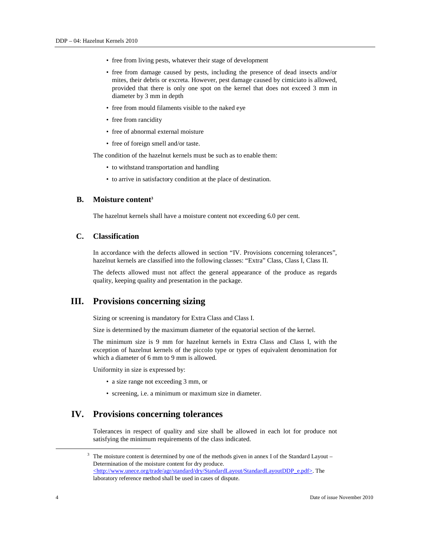- free from living pests, whatever their stage of development
- free from damage caused by pests, including the presence of dead insects and/or mites, their debris or excreta. However, pest damage caused by cimiciato is allowed, provided that there is only one spot on the kernel that does not exceed 3 mm in diameter by 3 mm in depth
- free from mould filaments visible to the naked eye
- free from rancidity
- free of abnormal external moisture
- free of foreign smell and/or taste.

The condition of the hazelnut kernels must be such as to enable them:

- to withstand transportation and handling
- to arrive in satisfactory condition at the place of destination.

#### **B. Moisture content<sup>3</sup>**

The hazelnut kernels shall have a moisture content not exceeding 6.0 per cent.

# **C. Classification**

In accordance with the defects allowed in section "IV. Provisions concerning tolerances", hazelnut kernels are classified into the following classes: "Extra" Class, Class I, Class II.

The defects allowed must not affect the general appearance of the produce as regards quality, keeping quality and presentation in the package.

# **III. Provisions concerning sizing**

Sizing or screening is mandatory for Extra Class and Class I.

Size is determined by the maximum diameter of the equatorial section of the kernel.

The minimum size is 9 mm for hazelnut kernels in Extra Class and Class I, with the exception of hazelnut kernels of the piccolo type or types of equivalent denomination for which a diameter of 6 mm to 9 mm is allowed.

Uniformity in size is expressed by:

- a size range not exceeding 3 mm, or
- screening, i.e. a minimum or maximum size in diameter.

# **IV. Provisions concerning tolerances**

Tolerances in respect of quality and size shall be allowed in each lot for produce not satisfying the minimum requirements of the class indicated.

 $\overline{a}$ 

 $3$  The moisture content is determined by one of the methods given in annex I of the Standard Layout – Determination of the moisture content for dry produce. <http://www.unece.org/trade/agr/standard/dry/StandardLayout/StandardLayoutDDP\_e.pdf>. The laboratory reference method shall be used in cases of dispute.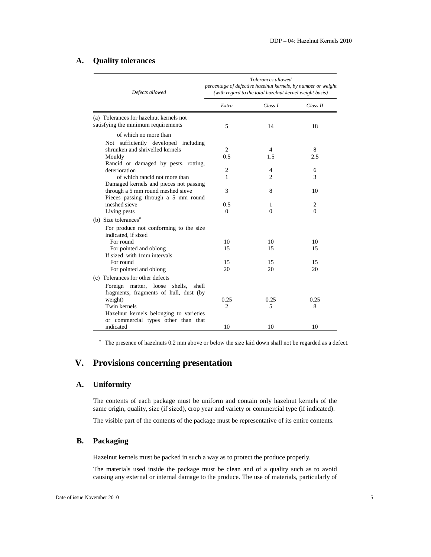#### **A. Quality tolerances**

| Defects allowed                                                                                                         | Tolerances allowed<br>percentage of defective hazelnut kernels, by number or weight<br>(with regard to the total hazelnut kernel weight basis) |                     |           |
|-------------------------------------------------------------------------------------------------------------------------|------------------------------------------------------------------------------------------------------------------------------------------------|---------------------|-----------|
|                                                                                                                         | Extra                                                                                                                                          | Class I             | Class II  |
| (a) Tolerances for hazelnut kernels not<br>satisfying the minimum requirements                                          | 5                                                                                                                                              | 14                  | 18        |
| of which no more than<br>Not sufficiently developed including<br>shrunken and shrivelled kernels                        | 2                                                                                                                                              | 4                   | 8         |
| Mouldy<br>Rancid or damaged by pests, rotting,                                                                          | 0.5                                                                                                                                            | 1.5                 | 2.5       |
| deterioration<br>of which rancid not more than                                                                          | 2<br>1                                                                                                                                         | 4<br>$\overline{2}$ | 6<br>3    |
| Damaged kernels and pieces not passing<br>through a 5 mm round meshed sieve<br>Pieces passing through a 5 mm round      | 3                                                                                                                                              | 8                   | 10        |
| meshed sieve<br>Living pests                                                                                            | 0.5<br>0                                                                                                                                       | 1<br>$\Omega$       | 2<br>0    |
| (b) Size tolerances <sup>a</sup><br>For produce not conforming to the size<br>indicated, if sized                       |                                                                                                                                                |                     |           |
| For round<br>For pointed and oblong<br>If sized with 1mm intervals                                                      | 10<br>15                                                                                                                                       | 10<br>15            | 10<br>15  |
| For round<br>For pointed and oblong                                                                                     | 15<br>20                                                                                                                                       | 15<br>20            | 15<br>20  |
| (c) Tolerances for other defects<br>Foreign matter, loose<br>shells,<br>shell<br>fragments, fragments of hull, dust (by |                                                                                                                                                |                     |           |
| weight)<br>Twin kernels<br>Hazelnut kernels belonging to varieties                                                      | 0.25<br>$\overline{2}$                                                                                                                         | 0.25<br>5           | 0.25<br>8 |
| or commercial types other than that<br>indicated                                                                        | 10                                                                                                                                             | 10                  | 10        |

<sup>a</sup> The presence of hazelnuts 0.2 mm above or below the size laid down shall not be regarded as a defect.

# **V. Provisions concerning presentation**

## **A. Uniformity**

The contents of each package must be uniform and contain only hazelnut kernels of the same origin, quality, size (if sized), crop year and variety or commercial type (if indicated).

The visible part of the contents of the package must be representative of its entire contents.

# **B. Packaging**

Hazelnut kernels must be packed in such a way as to protect the produce properly.

The materials used inside the package must be clean and of a quality such as to avoid causing any external or internal damage to the produce. The use of materials, particularly of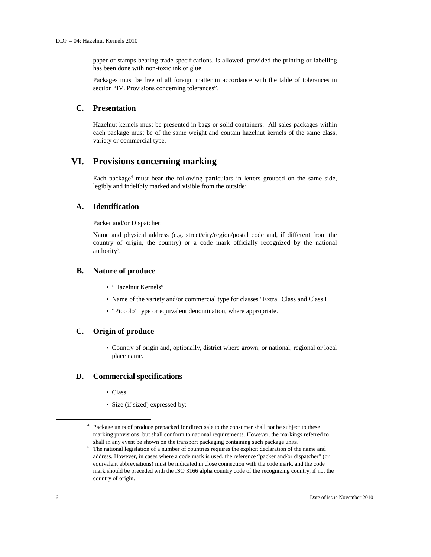paper or stamps bearing trade specifications, is allowed, provided the printing or labelling has been done with non-toxic ink or glue.

Packages must be free of all foreign matter in accordance with the table of tolerances in section "IV. Provisions concerning tolerances".

# **C. Presentation**

Hazelnut kernels must be presented in bags or solid containers. All sales packages within each package must be of the same weight and contain hazelnut kernels of the same class, variety or commercial type.

# **VI. Provisions concerning marking**

Each package<sup>4</sup> must bear the following particulars in letters grouped on the same side, legibly and indelibly marked and visible from the outside:

#### **A. Identification**

Packer and/or Dispatcher:

Name and physical address (e.g. street/city/region/postal code and, if different from the country of origin, the country) or a code mark officially recognized by the national authority<sup>5</sup>.

#### **B. Nature of produce**

- "Hazelnut Kernels"
- Name of the variety and/or commercial type for classes "Extra" Class and Class I
- "Piccolo" type or equivalent denomination, where appropriate.

#### **C. Origin of produce**

• Country of origin and, optionally, district where grown, or national, regional or local place name.

#### **D. Commercial specifications**

- Class
- Size (if sized) expressed by:

 $\overline{a}$ 

<sup>&</sup>lt;sup>4</sup> Package units of produce prepacked for direct sale to the consumer shall not be subject to these marking provisions, but shall conform to national requirements. However, the markings referred to shall in any event be shown on the transport packaging containing such package units.

<sup>&</sup>lt;sup>5</sup> The national legislation of a number of countries requires the explicit declaration of the name and address. However, in cases where a code mark is used, the reference "packer and/or dispatcher" (or equivalent abbreviations) must be indicated in close connection with the code mark, and the code mark should be preceded with the ISO 3166 alpha country code of the recognizing country, if not the country of origin.